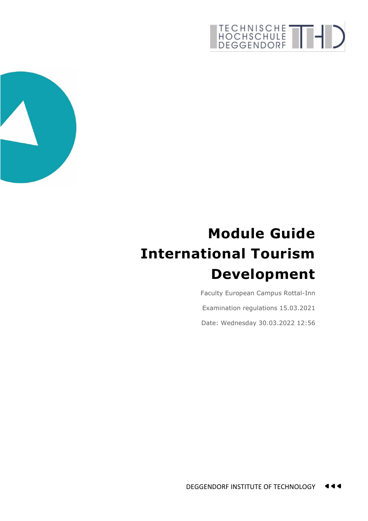## TECHNISCHE THE



## **Module Guide International Tourism Development**

Faculty European Campus Rottal-Inn Examination regulations 15.03.2021 Date: Wednesday 30.03.2022 12:56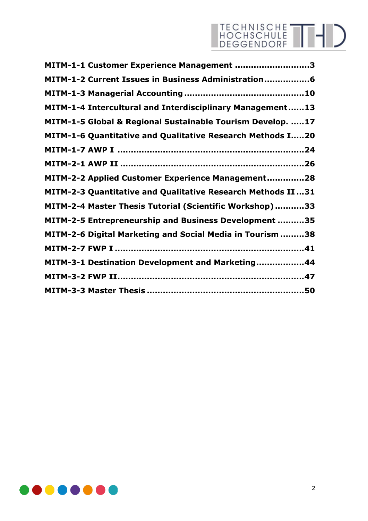## TECHNISCHE THI

| MITM-1-1 Customer Experience Management 3                          |
|--------------------------------------------------------------------|
| MITM-1-2 Current Issues in Business Administration6                |
|                                                                    |
| MITM-1-4 Intercultural and Interdisciplinary Management13          |
| MITM-1-5 Global & Regional Sustainable Tourism Develop. 17         |
| MITM-1-6 Quantitative and Qualitative Research Methods I20         |
|                                                                    |
|                                                                    |
| MITM-2-2 Applied Customer Experience Management28                  |
| <b>MITM-2-3 Quantitative and Qualitative Research Methods II31</b> |
| MITM-2-4 Master Thesis Tutorial (Scientific Workshop)33            |
| MITM-2-5 Entrepreneurship and Business Development 35              |
| MITM-2-6 Digital Marketing and Social Media in Tourism 38          |
|                                                                    |
| MITM-3-1 Destination Development and Marketing44                   |
|                                                                    |
|                                                                    |

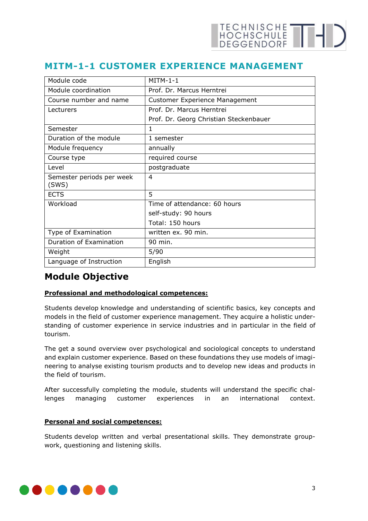#### <span id="page-2-0"></span>**MITM-1-1 CUSTOMER EXPERIENCE MANAGEMENT**

| Module code                        | $MITM-1-1$                             |
|------------------------------------|----------------------------------------|
| Module coordination                | Prof. Dr. Marcus Herntrei              |
| Course number and name             | <b>Customer Experience Management</b>  |
| Lecturers                          | Prof. Dr. Marcus Herntrei              |
|                                    | Prof. Dr. Georg Christian Steckenbauer |
| Semester                           | $\mathbf{1}$                           |
| Duration of the module             | 1 semester                             |
| Module frequency                   | annually                               |
| Course type                        | required course                        |
| Level                              | postgraduate                           |
| Semester periods per week<br>(SWS) | 4                                      |
| <b>ECTS</b>                        | 5                                      |
| Workload                           | Time of attendance: 60 hours           |
|                                    | self-study: 90 hours                   |
|                                    | Total: 150 hours                       |
| Type of Examination                | written ex. 90 min.                    |
| Duration of Examination            | 90 min.                                |
| Weight                             | 5/90                                   |
| Language of Instruction            | English                                |

#### **Module Objective**

#### **Professional and methodological competences:**

Students develop knowledge and understanding of scientific basics, key concepts and models in the field of customer experience management. They acquire a holistic understanding of customer experience in service industries and in particular in the field of tourism.

The get a sound overview over psychological and sociological concepts to understand and explain customer experience. Based on these foundations they use models of imagineering to analyse existing tourism products and to develop new ideas and products in the field of tourism.

After successfully completing the module, students will understand the specific challenges managing customer experiences in an international context.

#### **Personal and social competences:**

Students develop written and verbal presentational skills. They demonstrate groupwork, questioning and listening skills.

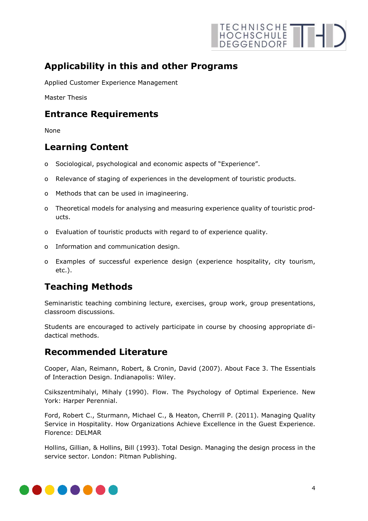

#### **Applicability in this and other Programs**

Applied Customer Experience Management

Master Thesis

#### **Entrance Requirements**

None

#### **Learning Content**

- o Sociological, psychological and economic aspects of "Experience".
- o Relevance of staging of experiences in the development of touristic products.
- o Methods that can be used in imagineering.
- o Theoretical models for analysing and measuring experience quality of touristic products.
- o Evaluation of touristic products with regard to of experience quality.
- o Information and communication design.
- o Examples of successful experience design (experience hospitality, city tourism, etc.).

#### **Teaching Methods**

Seminaristic teaching combining lecture, exercises, group work, group presentations, classroom discussions.

Students are encouraged to actively participate in course by choosing appropriate didactical methods.

#### **Recommended Literature**

Cooper, Alan, Reimann, Robert, & Cronin, David (2007). About Face 3. The Essentials of Interaction Design. Indianapolis: Wiley.

Csikszentmihalyi, Mihaly (1990). Flow. The Psychology of Optimal Experience. New York: Harper Perennial.

Ford, Robert C., Sturmann, Michael C., & Heaton, Cherrill P. (2011). Managing Quality Service in Hospitality. How Organizations Achieve Excellence in the Guest Experience. Florence: DELMAR

Hollins, Gillian, & Hollins, Bill (1993). Total Design. Managing the design process in the service sector. London: Pitman Publishing.

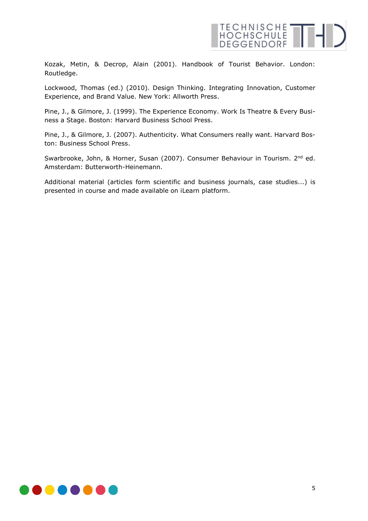

Kozak, Metin, & Decrop, Alain (2001). Handbook of Tourist Behavior. London: Routledge.

Lockwood, Thomas (ed.) (2010). Design Thinking. Integrating Innovation, Customer Experience, and Brand Value. New York: Allworth Press.

Pine, J., & Gilmore, J. (1999). The Experience Economy. Work Is Theatre & Every Business a Stage. Boston: Harvard Business School Press.

Pine, J., & Gilmore, J. (2007). Authenticity. What Consumers really want. Harvard Boston: Business School Press.

Swarbrooke, John, & Horner, Susan (2007). Consumer Behaviour in Tourism. 2<sup>nd</sup> ed. Amsterdam: Butterworth-Heinemann.

Additional material (articles form scientific and business journals, case studies...) is presented in course and made available on iLearn platform.

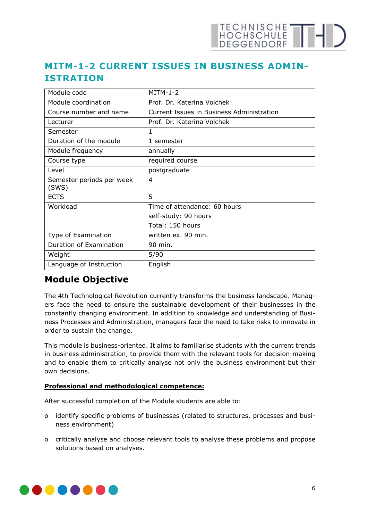## TECHNISCHE THE

#### <span id="page-5-0"></span>**MITM-1-2 CURRENT ISSUES IN BUSINESS ADMIN-ISTRATION**

| Module code                        | $MITM-1-2$                                |
|------------------------------------|-------------------------------------------|
| Module coordination                | Prof. Dr. Katerina Volchek                |
| Course number and name             | Current Issues in Business Administration |
| Lecturer                           | Prof. Dr. Katerina Volchek                |
| Semester                           | 1                                         |
| Duration of the module             | 1 semester                                |
| Module frequency                   | annually                                  |
| Course type                        | required course                           |
| Level                              | postgraduate                              |
| Semester periods per week<br>(SWS) | 4                                         |
| <b>ECTS</b>                        | 5                                         |
| Workload                           | Time of attendance: 60 hours              |
|                                    | self-study: 90 hours                      |
|                                    | Total: 150 hours                          |
| Type of Examination                | written ex. 90 min.                       |
| Duration of Examination            | 90 min.                                   |
| Weight                             | 5/90                                      |
| Language of Instruction            | English                                   |

#### **Module Objective**

The 4th Technological Revolution currently transforms the business landscape. Managers face the need to ensure the sustainable development of their businesses in the constantly changing environment. In addition to knowledge and understanding of Business Processes and Administration, managers face the need to take risks to innovate in order to sustain the change.

This module is business-oriented. It aims to familiarise students with the current trends in business administration, to provide them with the relevant tools for decision-making and to enable them to critically analyse not only the business environment but their own decisions.

#### **Professional and methodological competence:**

After successful completion of the Module students are able to:

- o identify specific problems of businesses (related to structures, processes and business environment)
- o critically analyse and choose relevant tools to analyse these problems and propose solutions based on analyses.

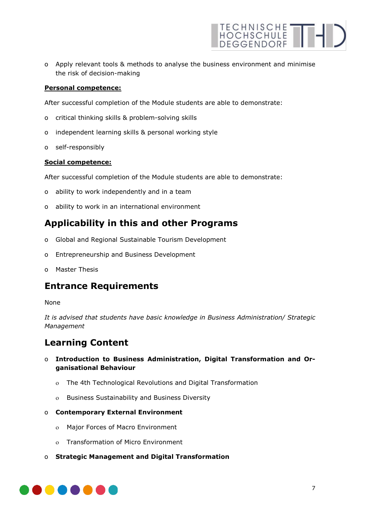

o Apply relevant tools & methods to analyse the business environment and minimise the risk of decision-making

#### **Personal competence:**

After successful completion of the Module students are able to demonstrate:

- o critical thinking skills & problem-solving skills
- o independent learning skills & personal working style
- o self-responsibly

#### **Social competence:**

After successful completion of the Module students are able to demonstrate:

- o ability to work independently and in a team
- o ability to work in an international environment

#### **Applicability in this and other Programs**

- o Global and Regional Sustainable Tourism Development
- o Entrepreneurship and Business Development
- o Master Thesis

#### **Entrance Requirements**

#### None

*It is advised that students have basic knowledge in Business Administration/ Strategic Management*

#### **Learning Content**

- o **Introduction to Business Administration, Digital Transformation and Organisational Behaviour**
	- ο The 4th Technological Revolutions and Digital Transformation
	- ο Business Sustainability and Business Diversity
- o **Contemporary External Environment**
	- ο Major Forces of Macro Environment
	- ο Transformation of Micro Environment
- o **Strategic Management and Digital Transformation**

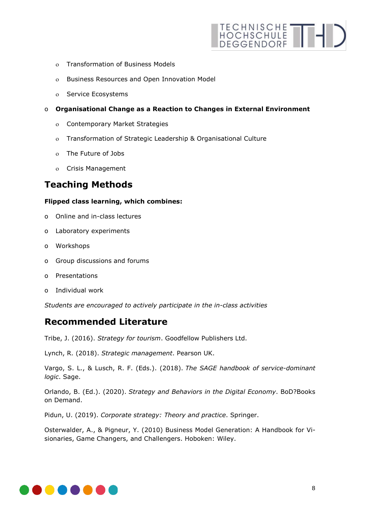

- ο Transformation of Business Models
- ο Business Resources and Open Innovation Model
- ο Service Ecosystems
- o **Organisational Change as a Reaction to Changes in External Environment**
	- ο Contemporary Market Strategies
	- ο Transformation of Strategic Leadership & Organisational Culture
	- ο The Future of Jobs
	- ο Crisis Management

#### **Teaching Methods**

#### **Flipped class learning, which combines:**

- o Online and in-class lectures
- o Laboratory experiments
- o Workshops
- o Group discussions and forums
- o Presentations
- o Individual work

*Students are encouraged to actively participate in the in-class activities*

#### **Recommended Literature**

Tribe, J. (2016). *Strategy for tourism*. Goodfellow Publishers Ltd.

Lynch, R. (2018). *Strategic management*. Pearson UK.

Vargo, S. L., & Lusch, R. F. (Eds.). (2018). *The SAGE handbook of service-dominant logic*. Sage.

Orlando, B. (Ed.). (2020). *Strategy and Behaviors in the Digital Economy*. BoD?Books on Demand.

Pidun, U. (2019). *Corporate strategy: Theory and practice*. Springer.

Osterwalder, A., & Pigneur, Y. (2010) Business Model Generation: A Handbook for Visionaries, Game Changers, and Challengers. Hoboken: Wiley.

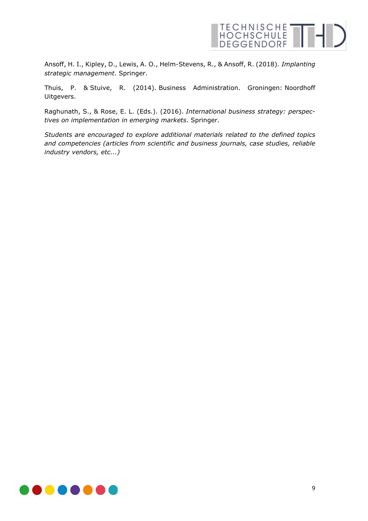

Ansoff, H. I., Kipley, D., Lewis, A. O., Helm-Stevens, R., & Ansoff, R. (2018). *Implanting strategic management*. Springer.

Thuis, P. & Stuive, R. (2014). Business Administration. Groningen: Noordhoff Uitgevers.

Raghunath, S., & Rose, E. L. (Eds.). (2016). *International business strategy: perspectives on implementation in emerging markets*. Springer.

*Students are encouraged to explore additional materials related to the defined topics and competencies (articles from scientific and business journals, case studies, reliable industry vendors, etc...)* 

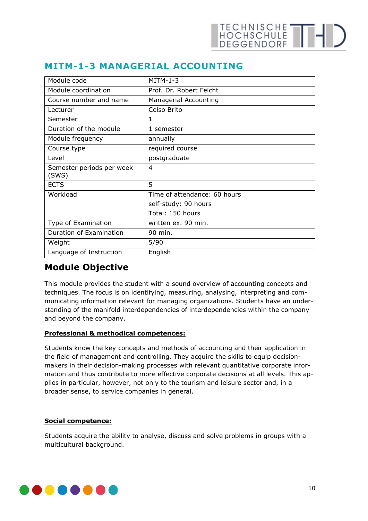| Module code                        | $MITM-1-3$                   |
|------------------------------------|------------------------------|
| Module coordination                | Prof. Dr. Robert Feicht      |
| Course number and name             | Managerial Accounting        |
| Lecturer                           | Celso Brito                  |
| Semester                           | 1                            |
| Duration of the module             | 1 semester                   |
| Module frequency                   | annually                     |
| Course type                        | required course              |
| Level                              | postgraduate                 |
| Semester periods per week<br>(SWS) | $\overline{4}$               |
| <b>ECTS</b>                        | 5                            |
| Workload                           | Time of attendance: 60 hours |
|                                    | self-study: 90 hours         |
|                                    | Total: 150 hours             |
| Type of Examination                | written ex. 90 min.          |
| Duration of Examination            | 90 min.                      |
| Weight                             | 5/90                         |
| Language of Instruction            | English                      |

#### <span id="page-9-0"></span>**MITM-1-3 MANAGERIAL ACCOUNTING**

#### **Module Objective**

This module provides the student with a sound overview of accounting concepts and techniques. The focus is on identifying, measuring, analysing, interpreting and communicating information relevant for managing organizations. Students have an understanding of the manifold interdependencies of interdependencies within the company and beyond the company.

#### **Professional & methodical competences:**

Students know the key concepts and methods of accounting and their application in the field of management and controlling. They acquire the skills to equip decisionmakers in their decision-making processes with relevant quantitative corporate information and thus contribute to more effective corporate decisions at all levels. This applies in particular, however, not only to the tourism and leisure sector and, in a broader sense, to service companies in general.

#### **Social competence:**

Students acquire the ability to analyse, discuss and solve problems in groups with a multicultural background.

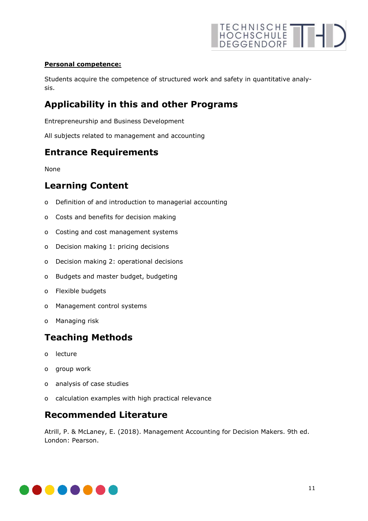

#### **Personal competence:**

Students acquire the competence of structured work and safety in quantitative analysis.

#### **Applicability in this and other Programs**

Entrepreneurship and Business Development

All subjects related to management and accounting

#### **Entrance Requirements**

None

#### **Learning Content**

- o Definition of and introduction to managerial accounting
- o Costs and benefits for decision making
- o Costing and cost management systems
- o Decision making 1: pricing decisions
- o Decision making 2: operational decisions
- o Budgets and master budget, budgeting
- o Flexible budgets
- o Management control systems
- o Managing risk

#### **Teaching Methods**

- o lecture
- o group work
- o analysis of case studies
- o calculation examples with high practical relevance

#### **Recommended Literature**

Atrill, P. & McLaney, E. (2018). Management Accounting for Decision Makers. 9th ed. London: Pearson.

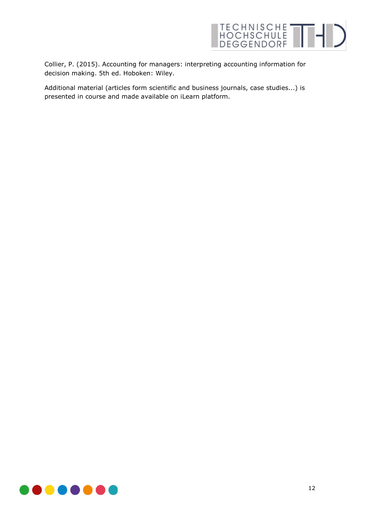

Collier, P. (2015). Accounting for managers: interpreting accounting information for decision making. 5th ed. Hoboken: Wiley.

Additional material (articles form scientific and business journals, case studies...) is presented in course and made available on iLearn platform.

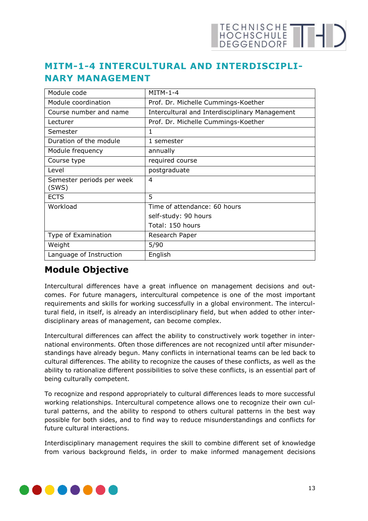## TECHNISCHE THE

### <span id="page-12-0"></span>**MITM-1-4 INTERCULTURAL AND INTERDISCIPLI-NARY MANAGEMENT**

| Module code                        | $MITM-1-4$                                     |
|------------------------------------|------------------------------------------------|
| Module coordination                | Prof. Dr. Michelle Cummings-Koether            |
| Course number and name             | Intercultural and Interdisciplinary Management |
| Lecturer                           | Prof. Dr. Michelle Cummings-Koether            |
| Semester                           | 1                                              |
| Duration of the module             | 1 semester                                     |
| Module frequency                   | annually                                       |
| Course type                        | required course                                |
| Level                              | postgraduate                                   |
| Semester periods per week<br>(SWS) | 4                                              |
| <b>ECTS</b>                        | 5                                              |
| Workload                           | Time of attendance: 60 hours                   |
|                                    | self-study: 90 hours                           |
|                                    | Total: 150 hours                               |
| Type of Examination                | Research Paper                                 |
| Weight                             | 5/90                                           |
| Language of Instruction            | English                                        |

#### **Module Objective**

Intercultural differences have a great influence on management decisions and outcomes. For future managers, intercultural competence is one of the most important requirements and skills for working successfully in a global environment. The intercultural field, in itself, is already an interdisciplinary field, but when added to other interdisciplinary areas of management, can become complex.

Intercultural differences can affect the ability to constructively work together in international environments. Often those differences are not recognized until after misunderstandings have already begun. Many conflicts in international teams can be led back to cultural differences. The ability to recognize the causes of these conflicts, as well as the ability to rationalize different possibilities to solve these conflicts, is an essential part of being culturally competent.

To recognize and respond appropriately to cultural differences leads to more successful working relationships. Intercultural competence allows one to recognize their own cultural patterns, and the ability to respond to others cultural patterns in the best way possible for both sides, and to find way to reduce misunderstandings and conflicts for future cultural interactions.

Interdisciplinary management requires the skill to combine different set of knowledge from various background fields, in order to make informed management decisions

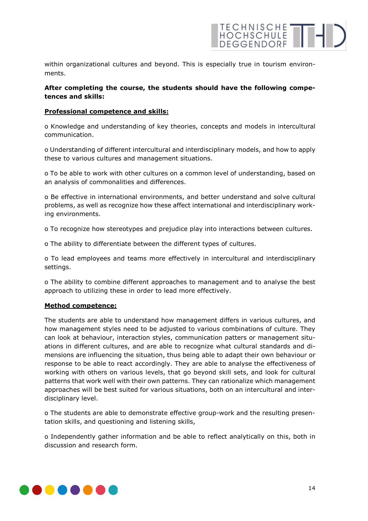

within organizational cultures and beyond. This is especially true in tourism environments.

#### **After completing the course, the students should have the following competences and skills:**

#### **Professional competence and skills:**

o Knowledge and understanding of key theories, concepts and models in intercultural communication.

o Understanding of different intercultural and interdisciplinary models, and how to apply these to various cultures and management situations.

o To be able to work with other cultures on a common level of understanding, based on an analysis of commonalities and differences.

o Be effective in international environments, and better understand and solve cultural problems, as well as recognize how these affect international and interdisciplinary working environments.

o To recognize how stereotypes and prejudice play into interactions between cultures.

o The ability to differentiate between the different types of cultures.

o To lead employees and teams more effectively in intercultural and interdisciplinary settings.

o The ability to combine different approaches to management and to analyse the best approach to utilizing these in order to lead more effectively.

#### **Method competence:**

The students are able to understand how management differs in various cultures, and how management styles need to be adjusted to various combinations of culture. They can look at behaviour, interaction styles, communication patters or management situations in different cultures, and are able to recognize what cultural standards and dimensions are influencing the situation, thus being able to adapt their own behaviour or response to be able to react accordingly. They are able to analyse the effectiveness of working with others on various levels, that go beyond skill sets, and look for cultural patterns that work well with their own patterns. They can rationalize which management approaches will be best suited for various situations, both on an intercultural and interdisciplinary level.

o The students are able to demonstrate effective group-work and the resulting presentation skills, and questioning and listening skills,

o Independently gather information and be able to reflect analytically on this, both in discussion and research form.

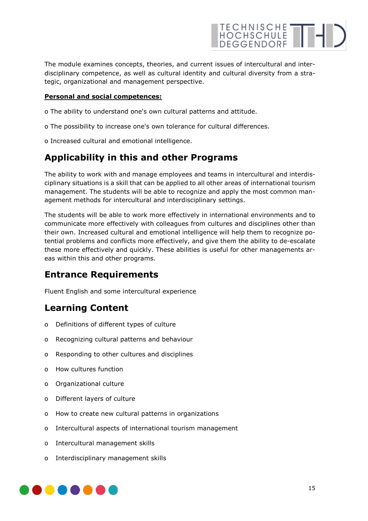

The module examines concepts, theories, and current issues of intercultural and interdisciplinary competence, as well as cultural identity and cultural diversity from a strategic, organizational and management perspective.

#### **Personal and social competences:**

- o The ability to understand one's own cultural patterns and attitude.
- o The possibility to increase one's own tolerance for cultural differences.
- o Increased cultural and emotional intelligence.

#### **Applicability in this and other Programs**

The ability to work with and manage employees and teams in intercultural and interdisciplinary situations is a skill that can be applied to all other areas of international tourism management. The students will be able to recognize and apply the most common management methods for intercultural and interdisciplinary settings.

The students will be able to work more effectively in international environments and to communicate more effectively with colleagues from cultures and disciplines other than their own. Increased cultural and emotional intelligence will help them to recognize potential problems and conflicts more effectively, and give them the ability to de-escalate these more effectively and quickly. These abilities is useful for other managements areas within this and other programs.

#### **Entrance Requirements**

Fluent English and some intercultural experience

#### **Learning Content**

- o Definitions of different types of culture
- o Recognizing cultural patterns and behaviour
- o Responding to other cultures and disciplines
- o How cultures function
- o Organizational culture
- o Different layers of culture
- o How to create new cultural patterns in organizations
- o Intercultural aspects of international tourism management
- o Intercultural management skills
- o Interdisciplinary management skills

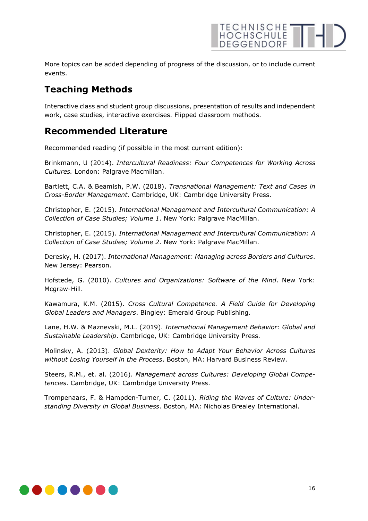

More topics can be added depending of progress of the discussion, or to include current events.

#### **Teaching Methods**

Interactive class and student group discussions, presentation of results and independent work, case studies, interactive exercises. Flipped classroom methods.

#### **Recommended Literature**

Recommended reading (if possible in the most current edition):

Brinkmann, U (2014). *Intercultural Readiness: Four Competences for Working Across Cultures.* London: Palgrave Macmillan.

Bartlett, C.A. & Beamish, P.W. (2018). *Transnational Management: Text and Cases in Cross-Border Management.* Cambridge, UK: Cambridge University Press.

Christopher, E. (2015). *International Management and Intercultural Communication: A Collection of Case Studies; Volume 1*. New York: Palgrave MacMillan.

Christopher, E. (2015). *International Management and Intercultural Communication: A Collection of Case Studies; Volume 2*. New York: Palgrave MacMillan.

Deresky, H. (2017). *International Management: Managing across Borders and Cultures*. New Jersey: Pearson.

Hofstede, G. (2010). *Cultures and Organizations: Software of the Mind*. New York: Mcgraw-Hill.

Kawamura, K.M. (2015). *Cross Cultural Competence. A Field Guide for Developing Global Leaders and Managers*. Bingley: Emerald Group Publishing.

Lane, H.W. & Maznevski, M.L. (2019). *International Management Behavior: Global and Sustainable Leadership*. Cambridge, UK: Cambridge University Press.

Molinsky, A. (2013). *Global Dexterity: How to Adapt Your Behavior Across Cultures without Losing Yourself in the Process*. Boston, MA: Harvard Business Review.

Steers, R.M., et. al. (2016). *Management across Cultures: Developing Global Competencies*. Cambridge, UK: Cambridge University Press.

Trompenaars, F. & Hampden-Turner, C. (2011). *Riding the Waves of Culture: Understanding Diversity in Global Business*. Boston, MA: Nicholas Brealey International.

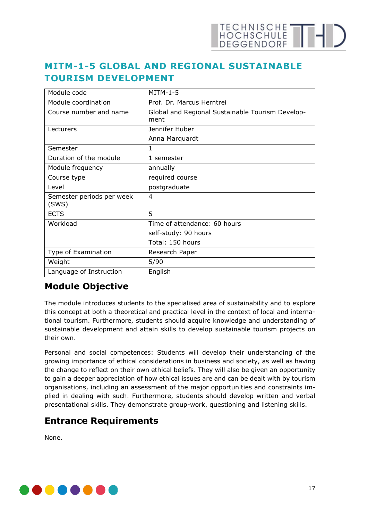#### <span id="page-16-0"></span>**MITM-1-5 GLOBAL AND REGIONAL SUSTAINABLE TOURISM DEVELOPMENT**

| Module code                        | $MITM-1-5$                                               |
|------------------------------------|----------------------------------------------------------|
| Module coordination                | Prof. Dr. Marcus Herntrei                                |
| Course number and name             | Global and Regional Sustainable Tourism Develop-<br>ment |
| Lecturers                          | Jennifer Huber                                           |
|                                    | Anna Marquardt                                           |
| Semester                           | 1                                                        |
| Duration of the module             | 1 semester                                               |
| Module frequency                   | annually                                                 |
| Course type                        | required course                                          |
| Level                              | postgraduate                                             |
| Semester periods per week<br>(SWS) | 4                                                        |
| <b>ECTS</b>                        | 5                                                        |
| Workload                           | Time of attendance: 60 hours                             |
|                                    | self-study: 90 hours                                     |
|                                    | Total: 150 hours                                         |
| Type of Examination                | Research Paper                                           |
| Weight                             | 5/90                                                     |
| Language of Instruction            | English                                                  |

### **Module Objective**

The module introduces students to the specialised area of sustainability and to explore this concept at both a theoretical and practical level in the context of local and international tourism. Furthermore, students should acquire knowledge and understanding of sustainable development and attain skills to develop sustainable tourism projects on their own.

Personal and social competences: Students will develop their understanding of the growing importance of ethical considerations in business and society, as well as having the change to reflect on their own ethical beliefs. They will also be given an opportunity to gain a deeper appreciation of how ethical issues are and can be dealt with by tourism organisations, including an assessment of the major opportunities and constraints implied in dealing with such. Furthermore, students should develop written and verbal presentational skills. They demonstrate group-work, questioning and listening skills.

#### **Entrance Requirements**

None.

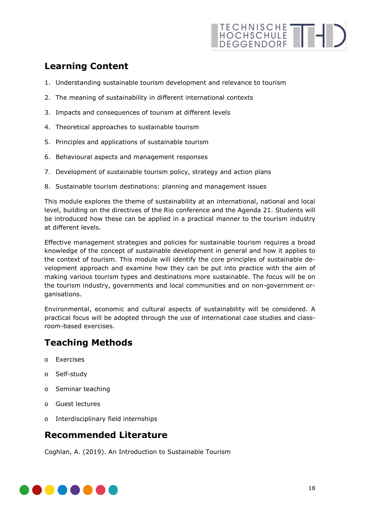## TECHNISCHE THE

### **Learning Content**

- 1. Understanding sustainable tourism development and relevance to tourism
- 2. The meaning of sustainability in different international contexts
- 3. Impacts and consequences of tourism at different levels
- 4. Theoretical approaches to sustainable tourism
- 5. Principles and applications of sustainable tourism
- 6. Behavioural aspects and management responses
- 7. Development of sustainable tourism policy, strategy and action plans
- 8. Sustainable tourism destinations: planning and management issues

This module explores the theme of sustainability at an international, national and local level, building on the directives of the Rio conference and the Agenda 21. Students will be introduced how these can be applied in a practical manner to the tourism industry at different levels.

Effective management strategies and policies for sustainable tourism requires a broad knowledge of the concept of sustainable development in general and how it applies to the context of tourism. This module will identify the core principles of sustainable development approach and examine how they can be put into practice with the aim of making various tourism types and destinations more sustainable. The focus will be on the tourism industry, governments and local communities and on non-government organisations.

Environmental, economic and cultural aspects of sustainability will be considered. A practical focus will be adopted through the use of international case studies and classroom-based exercises.

### **Teaching Methods**

- o Exercises
- o Self-study
- o Seminar teaching
- o Guest lectures
- o Interdisciplinary field internships

#### **Recommended Literature**

Coghlan, A. (2019). An Introduction to Sustainable Tourism

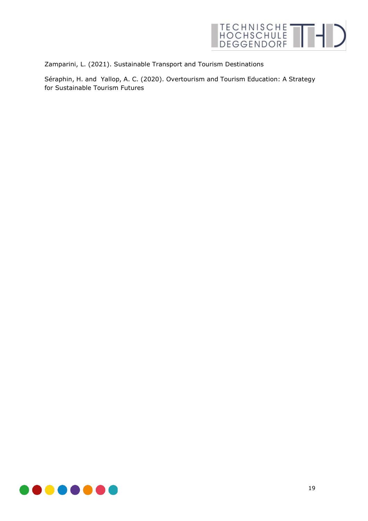

Zamparini, L. (2021). Sustainable Transport and Tourism Destinations

Séraphin, H. and Yallop, A. C. (2020). Overtourism and Tourism Education: A Strategy for Sustainable Tourism Futures

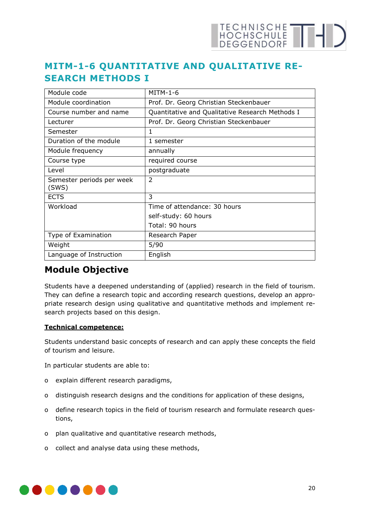## TECHNISCHE THE

### <span id="page-19-0"></span>**MITM-1-6 QUANTITATIVE AND QUALITATIVE RE-SEARCH METHODS I**

| Module code                        | $MITM-1-6$                                      |
|------------------------------------|-------------------------------------------------|
| Module coordination                | Prof. Dr. Georg Christian Steckenbauer          |
| Course number and name             | Quantitative and Qualitative Research Methods I |
| Lecturer                           | Prof. Dr. Georg Christian Steckenbauer          |
| Semester                           | 1                                               |
| Duration of the module             | 1 semester                                      |
| Module frequency                   | annually                                        |
| Course type                        | required course                                 |
| Level                              | postgraduate                                    |
| Semester periods per week<br>(SWS) | $\overline{2}$                                  |
| <b>ECTS</b>                        | 3                                               |
| Workload                           | Time of attendance: 30 hours                    |
|                                    | self-study: 60 hours                            |
|                                    | Total: 90 hours                                 |
| Type of Examination                | Research Paper                                  |
| Weight                             | 5/90                                            |
| Language of Instruction            | English                                         |

#### **Module Objective**

Students have a deepened understanding of (applied) research in the field of tourism. They can define a research topic and according research questions, develop an appropriate research design using qualitative and quantitative methods and implement research projects based on this design.

#### **Technical competence:**

Students understand basic concepts of research and can apply these concepts the field of tourism and leisure.

In particular students are able to:

- o explain different research paradigms,
- o distinguish research designs and the conditions for application of these designs,
- o define research topics in the field of tourism research and formulate research questions,
- o plan qualitative and quantitative research methods,
- o collect and analyse data using these methods,

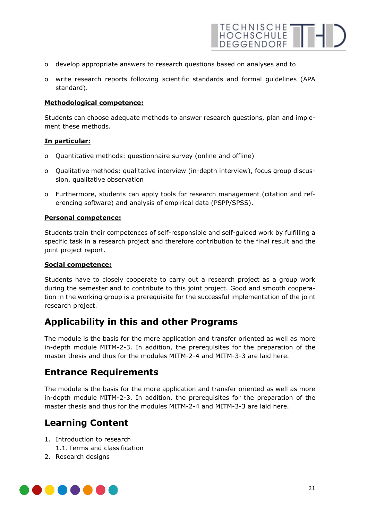

- o develop appropriate answers to research questions based on analyses and to
- o write research reports following scientific standards and formal guidelines (APA standard).

#### **Methodological competence:**

Students can choose adequate methods to answer research questions, plan and implement these methods.

#### **In particular:**

- o Quantitative methods: questionnaire survey (online and offline)
- o Qualitative methods: qualitative interview (in-depth interview), focus group discussion, qualitative observation
- o Furthermore, students can apply tools for research management (citation and referencing software) and analysis of empirical data (PSPP/SPSS).

#### **Personal competence:**

Students train their competences of self-responsible and self-guided work by fulfilling a specific task in a research project and therefore contribution to the final result and the joint project report.

#### **Social competence:**

Students have to closely cooperate to carry out a research project as a group work during the semester and to contribute to this joint project. Good and smooth cooperation in the working group is a prerequisite for the successful implementation of the joint research project.

#### **Applicability in this and other Programs**

The module is the basis for the more application and transfer oriented as well as more in-depth module MITM-2-3. In addition, the prerequisites for the preparation of the master thesis and thus for the modules MITM-2-4 and MITM-3-3 are laid here.

#### **Entrance Requirements**

The module is the basis for the more application and transfer oriented as well as more in-depth module MITM-2-3. In addition, the prerequisites for the preparation of the master thesis and thus for the modules MITM-2-4 and MITM-3-3 are laid here.

#### **Learning Content**

- 1. Introduction to research
	- 1.1. Terms and classification
- 2. Research designs

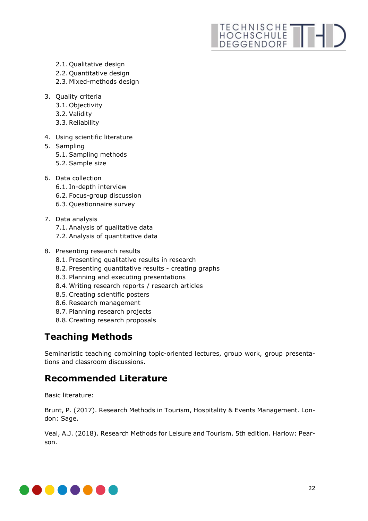# TECHNISCHE THIS

- 2.1. Qualitative design
- 2.2. Quantitative design
- 2.3. Mixed-methods design
- 3. Quality criteria
	- 3.1. Objectivity
	- 3.2.Validity
	- 3.3.Reliability
- 4. Using scientific literature
- 5. Sampling
	- 5.1.Sampling methods
	- 5.2.Sample size
- 6. Data collection
	- 6.1. In-depth interview
	- 6.2. Focus-group discussion
	- 6.3. Questionnaire survey
- 7. Data analysis
	- 7.1.Analysis of qualitative data
	- 7.2.Analysis of quantitative data
- 8. Presenting research results
	- 8.1. Presenting qualitative results in research
	- 8.2. Presenting quantitative results creating graphs
	- 8.3. Planning and executing presentations
	- 8.4. Writing research reports / research articles
	- 8.5.Creating scientific posters
	- 8.6.Research management
	- 8.7. Planning research projects
	- 8.8.Creating research proposals

## **Teaching Methods**

Seminaristic teaching combining topic-oriented lectures, group work, group presentations and classroom discussions.

### **Recommended Literature**

Basic literature:

Brunt, P. (2017). Research Methods in Tourism, Hospitality & Events Management. London: Sage.

Veal, A.J. (2018). Research Methods for Leisure and Tourism. 5th edition. Harlow: Pearson.

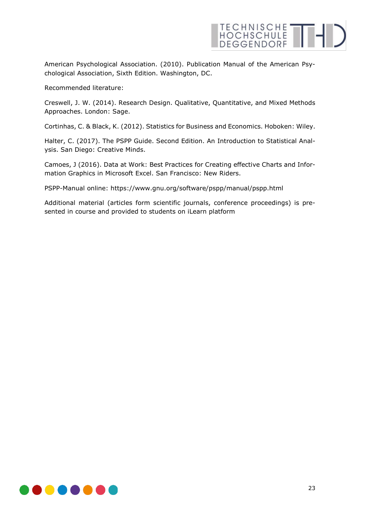

American Psychological Association. (2010). Publication Manual of the American Psychological Association, Sixth Edition. Washington, DC.

Recommended literature:

Creswell, J. W. (2014). Research Design. Qualitative, Quantitative, and Mixed Methods Approaches. London: Sage.

Cortinhas, C. & Black, K. (2012). Statistics for Business and Economics. Hoboken: Wiley.

Halter, C. (2017). The PSPP Guide. Second Edition. An Introduction to Statistical Analysis. San Diego: Creative Minds.

Camoes, J (2016). Data at Work: Best Practices for Creating effective Charts and Information Graphics in Microsoft Excel. San Francisco: New Riders.

PSPP-Manual online: https://www.gnu.org/software/pspp/manual/pspp.html

Additional material (articles form scientific journals, conference proceedings) is presented in course and provided to students on iLearn platform

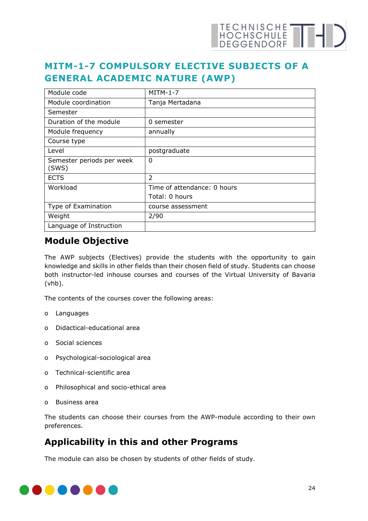## <span id="page-23-0"></span>**MITM-1-7 COMPULSORY ELECTIVE SUBJECTS OF A GENERAL ACADEMIC NATURE (AWP)**

| Module code                        | $MITM-1-7$                  |
|------------------------------------|-----------------------------|
| Module coordination                | Tanja Mertadana             |
| Semester                           |                             |
| Duration of the module             | 0 semester                  |
| Module frequency                   | annually                    |
| Course type                        |                             |
| Level                              | postgraduate                |
| Semester periods per week<br>(SWS) | 0                           |
| <b>ECTS</b>                        | $\overline{\phantom{a}}$    |
| Workload                           | Time of attendance: 0 hours |
|                                    | Total: 0 hours              |
| Type of Examination                | course assessment           |
| Weight                             | 2/90                        |
| Language of Instruction            |                             |

#### **Module Objective**

The AWP subjects (Electives) provide the students with the opportunity to gain knowledge and skills in other fields than their chosen field of study. Students can choose both instructor-led inhouse courses and courses of the Virtual University of Bavaria (vhb).

The contents of the courses cover the following areas:

- o Languages
- o Didactical-educational area
- o Social sciences
- o Psychological-sociological area
- o Technical-scientific area
- o Philosophical and socio-ethical area
- o Business area

The students can choose their courses from the AWP-module according to their own preferences.

#### **Applicability in this and other Programs**

The module can also be chosen by students of other fields of study.

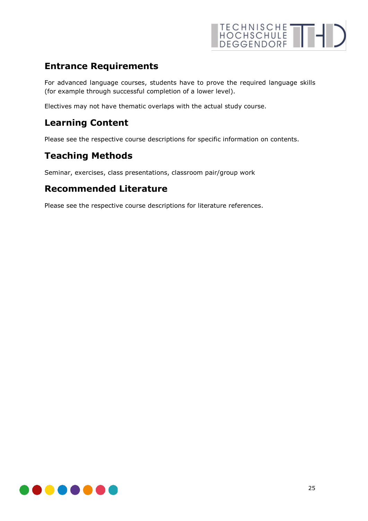

#### **Entrance Requirements**

For advanced language courses, students have to prove the required language skills (for example through successful completion of a lower level).

Electives may not have thematic overlaps with the actual study course.

#### **Learning Content**

Please see the respective course descriptions for specific information on contents.

#### **Teaching Methods**

Seminar, exercises, class presentations, classroom pair/group work

#### **Recommended Literature**

Please see the respective course descriptions for literature references.

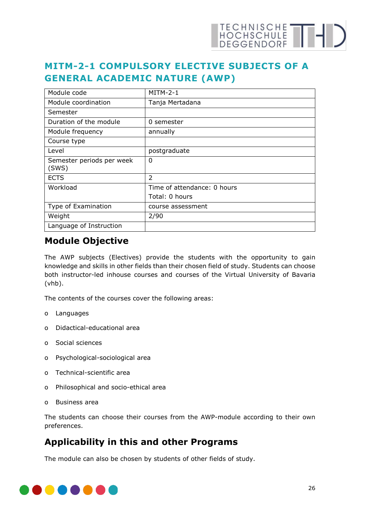## <span id="page-25-0"></span>**MITM-2-1 COMPULSORY ELECTIVE SUBJECTS OF A GENERAL ACADEMIC NATURE (AWP)**

| Module code                        | $MITM-2-1$                  |
|------------------------------------|-----------------------------|
| Module coordination                | Tanja Mertadana             |
| Semester                           |                             |
| Duration of the module             | 0 semester                  |
| Module frequency                   | annually                    |
| Course type                        |                             |
| Level                              | postgraduate                |
| Semester periods per week<br>(SWS) | 0                           |
| <b>ECTS</b>                        | $\overline{\phantom{a}}$    |
| Workload                           | Time of attendance: 0 hours |
|                                    | Total: 0 hours              |
| Type of Examination                | course assessment           |
| Weight                             | 2/90                        |
| Language of Instruction            |                             |

#### **Module Objective**

The AWP subjects (Electives) provide the students with the opportunity to gain knowledge and skills in other fields than their chosen field of study. Students can choose both instructor-led inhouse courses and courses of the Virtual University of Bavaria (vhb).

The contents of the courses cover the following areas:

- o Languages
- o Didactical-educational area
- o Social sciences
- o Psychological-sociological area
- o Technical-scientific area
- o Philosophical and socio-ethical area
- o Business area

The students can choose their courses from the AWP-module according to their own preferences.

#### **Applicability in this and other Programs**

The module can also be chosen by students of other fields of study.

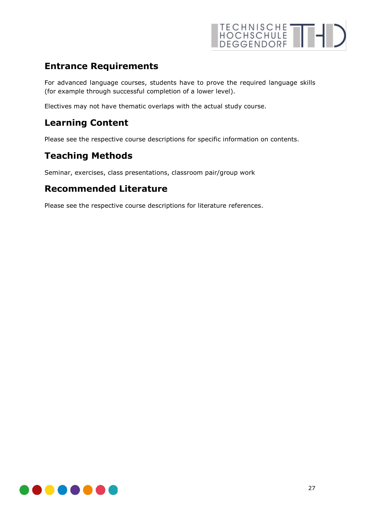

#### **Entrance Requirements**

For advanced language courses, students have to prove the required language skills (for example through successful completion of a lower level).

Electives may not have thematic overlaps with the actual study course.

#### **Learning Content**

Please see the respective course descriptions for specific information on contents.

#### **Teaching Methods**

Seminar, exercises, class presentations, classroom pair/group work

#### **Recommended Literature**

Please see the respective course descriptions for literature references.

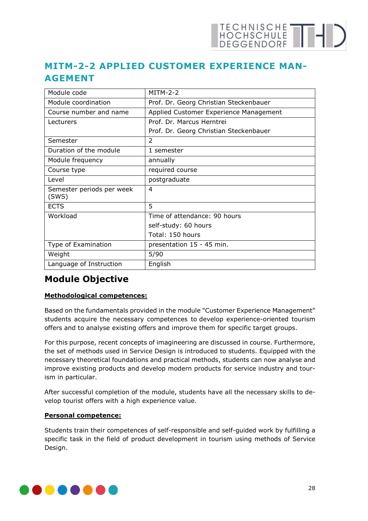### <span id="page-27-0"></span>**MITM-2-2 APPLIED CUSTOMER EXPERIENCE MAN-AGEMENT**

| Module code                        | $MITM-2-2$                             |
|------------------------------------|----------------------------------------|
| Module coordination                | Prof. Dr. Georg Christian Steckenbauer |
| Course number and name             | Applied Customer Experience Management |
| Lecturers                          | Prof. Dr. Marcus Herntrei              |
|                                    | Prof. Dr. Georg Christian Steckenbauer |
| Semester                           | $\mathfrak{D}$                         |
| Duration of the module             | 1 semester                             |
| Module frequency                   | annually                               |
| Course type                        | required course                        |
| Level                              | postgraduate                           |
| Semester periods per week<br>(SWS) | 4                                      |
| <b>ECTS</b>                        | 5                                      |
| Workload                           | Time of attendance: 90 hours           |
|                                    | self-study: 60 hours                   |
|                                    | Total: 150 hours                       |
| Type of Examination                | presentation 15 - 45 min.              |
| Weight                             | 5/90                                   |
| Language of Instruction            | English                                |

#### **Module Objective**

#### **Methodological competences:**

Based on the fundamentals provided in the module "Customer Experience Management" students acquire the necessary competences to develop experience-oriented tourism offers and to analyse existing offers and improve them for specific target groups.

For this purpose, recent concepts of imagineering are discussed in course. Furthermore, the set of methods used in Service Design is introduced to students. Equipped with the necessary theoretical foundations and practical methods, students can now analyse and improve existing products and develop modern products for service industry and tourism in particular.

After successful completion of the module, students have all the necessary skills to develop tourist offers with a high experience value.

#### **Personal competence:**

Students train their competences of self-responsible and self-guided work by fulfilling a specific task in the field of product development in tourism using methods of Service Design.

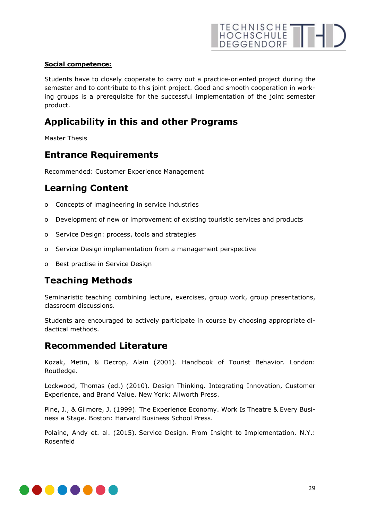#### **Social competence:**

Students have to closely cooperate to carry out a practice-oriented project during the semester and to contribute to this joint project. Good and smooth cooperation in working groups is a prerequisite for the successful implementation of the joint semester product.

#### **Applicability in this and other Programs**

Master Thesis

#### **Entrance Requirements**

Recommended: Customer Experience Management

#### **Learning Content**

- o Concepts of imagineering in service industries
- o Development of new or improvement of existing touristic services and products
- o Service Design: process, tools and strategies
- o Service Design implementation from a management perspective
- o Best practise in Service Design

#### **Teaching Methods**

Seminaristic teaching combining lecture, exercises, group work, group presentations, classroom discussions.

Students are encouraged to actively participate in course by choosing appropriate didactical methods.

#### **Recommended Literature**

Kozak, Metin, & Decrop, Alain (2001). Handbook of Tourist Behavior. London: Routledge.

Lockwood, Thomas (ed.) (2010). Design Thinking. Integrating Innovation, Customer Experience, and Brand Value. New York: Allworth Press.

Pine, J., & Gilmore, J. (1999). The Experience Economy. Work Is Theatre & Every Business a Stage. Boston: Harvard Business School Press.

Polaine, Andy et. al. (2015). Service Design. From Insight to Implementation. N.Y.: Rosenfeld

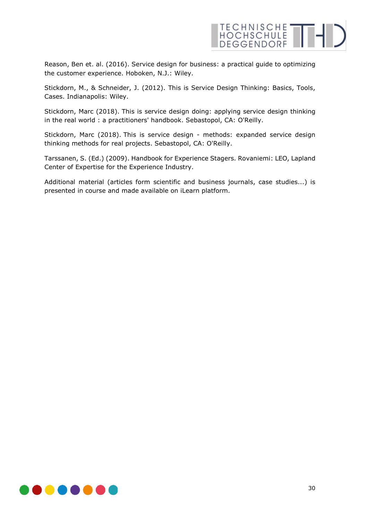

Reason, Ben et. al. (2016). Service design for business: a practical guide to optimizing the customer experience. Hoboken, N.J.: Wiley.

Stickdorn, M., & Schneider, J. (2012). This is Service Design Thinking: Basics, Tools, Cases. Indianapolis: Wiley.

Stickdorn, Marc (2018). This is service design doing: applying service design thinking in the real world : a practitioners' handbook. Sebastopol, CA: O'Reilly.

Stickdorn, Marc (2018). This is service design - methods: expanded service design thinking methods for real projects. Sebastopol, CA: O'Reilly.

Tarssanen, S. (Ed.) (2009). Handbook for Experience Stagers. Rovaniemi: LEO, Lapland Center of Expertise for the Experience Industry.

Additional material (articles form scientific and business journals, case studies...) is presented in course and made available on iLearn platform.

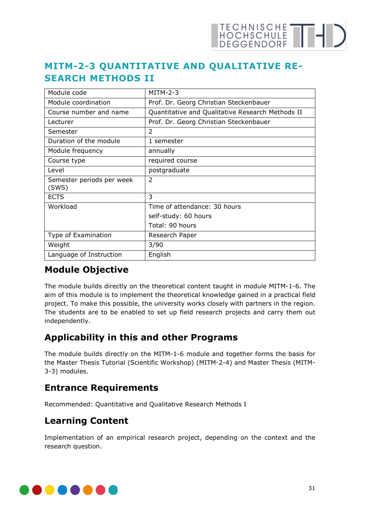## HOCHSCHULE THE

### <span id="page-30-0"></span>**MITM-2-3 QUANTITATIVE AND QUALITATIVE RE-SEARCH METHODS II**

| Module code                        | $MITM-2-3$                                       |
|------------------------------------|--------------------------------------------------|
| Module coordination                | Prof. Dr. Georg Christian Steckenbauer           |
| Course number and name             | Quantitative and Qualitative Research Methods II |
| Lecturer                           | Prof. Dr. Georg Christian Steckenbauer           |
| Semester                           | 2                                                |
| Duration of the module             | 1 semester                                       |
| Module frequency                   | annually                                         |
| Course type                        | required course                                  |
| Level                              | postgraduate                                     |
| Semester periods per week<br>(SWS) | $\mathfrak{D}$                                   |
| <b>ECTS</b>                        | 3                                                |
| Workload                           | Time of attendance: 30 hours                     |
|                                    | self-study: 60 hours                             |
|                                    | Total: 90 hours                                  |
| Type of Examination                | Research Paper                                   |
| Weight                             | 3/90                                             |
| Language of Instruction            | English                                          |

#### **Module Objective**

The module builds directly on the theoretical content taught in module MITM-1-6. The aim of this module is to implement the theoretical knowledge gained in a practical field project. To make this possible, the university works closely with partners in the region. The students are to be enabled to set up field research projects and carry them out independently.

### **Applicability in this and other Programs**

The module builds directly on the MITM-1-6 module and together forms the basis for the Master Thesis Tutorial (Scientific Workshop) (MITM-2-4) and Master Thesis (MITM-3-3) modules.

### **Entrance Requirements**

Recommended: Quantitative and Qualitative Research Methods I

### **Learning Content**

Implementation of an empirical research project, depending on the context and the research question.

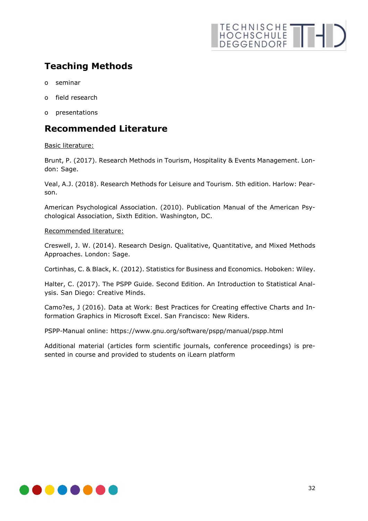## TECHNISCHE THI

## **Teaching Methods**

- o seminar
- o field research
- o presentations

#### **Recommended Literature**

#### Basic literature:

Brunt, P. (2017). Research Methods in Tourism, Hospitality & Events Management. London: Sage.

Veal, A.J. (2018). Research Methods for Leisure and Tourism. 5th edition. Harlow: Pearson.

American Psychological Association. (2010). Publication Manual of the American Psychological Association, Sixth Edition. Washington, DC.

#### Recommended literature:

Creswell, J. W. (2014). Research Design. Qualitative, Quantitative, and Mixed Methods Approaches. London: Sage.

Cortinhas, C. & Black, K. (2012). Statistics for Business and Economics. Hoboken: Wiley.

Halter, C. (2017). The PSPP Guide. Second Edition. An Introduction to Statistical Analysis. San Diego: Creative Minds.

Camo?es, J (2016). Data at Work: Best Practices for Creating effective Charts and Information Graphics in Microsoft Excel. San Francisco: New Riders.

PSPP-Manual online: https://www.gnu.org/software/pspp/manual/pspp.html

Additional material (articles form scientific journals, conference proceedings) is presented in course and provided to students on iLearn platform

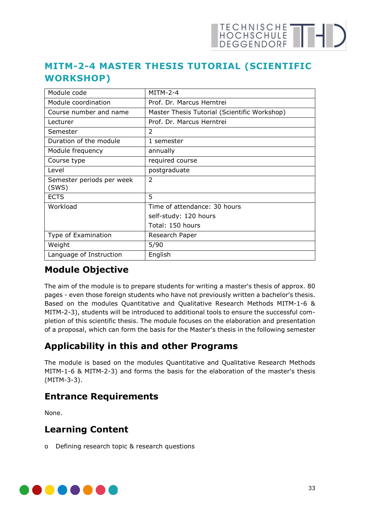## <span id="page-32-0"></span>**MITM-2-4 MASTER THESIS TUTORIAL (SCIENTIFIC WORKSHOP)**

| Module code                        | $MITM-2-4$                                   |
|------------------------------------|----------------------------------------------|
| Module coordination                | Prof. Dr. Marcus Herntrei                    |
| Course number and name             | Master Thesis Tutorial (Scientific Workshop) |
| Lecturer                           | Prof. Dr. Marcus Herntrei                    |
| Semester                           | $\mathcal{P}$                                |
| Duration of the module             | 1 semester                                   |
| Module frequency                   | annually                                     |
| Course type                        | required course                              |
| Level                              | postgraduate                                 |
| Semester periods per week<br>(SWS) | $\overline{2}$                               |
| <b>ECTS</b>                        | 5                                            |
| Workload                           | Time of attendance: 30 hours                 |
|                                    | self-study: 120 hours                        |
|                                    | Total: 150 hours                             |
| Type of Examination                | Research Paper                               |
| Weight                             | 5/90                                         |
| Language of Instruction            | English                                      |

### **Module Objective**

The aim of the module is to prepare students for writing a master's thesis of approx. 80 pages - even those foreign students who have not previously written a bachelor's thesis. Based on the modules Quantitative and Qualitative Research Methods MITM-1-6 & MITM-2-3), students will be introduced to additional tools to ensure the successful completion of this scientific thesis. The module focuses on the elaboration and presentation of a proposal, which can form the basis for the Master's thesis in the following semester

## **Applicability in this and other Programs**

The module is based on the modules Quantitative and Qualitative Research Methods MITM-1-6 & MITM-2-3) and forms the basis for the elaboration of the master's thesis (MITM-3-3).

### **Entrance Requirements**

None.

### **Learning Content**

o Defining research topic & research questions

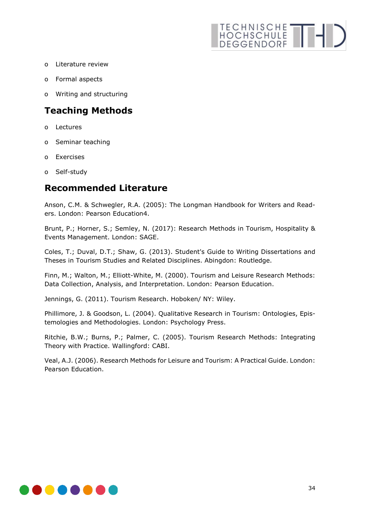## TECHNISCHE THI

- o Literature review
- o Formal aspects
- o Writing and structuring

#### **Teaching Methods**

- o Lectures
- o Seminar teaching
- o Exercises
- o Self-study

## **Recommended Literature**

Anson, C.M. & Schwegler, R.A. (2005): The Longman Handbook for Writers and Readers. London: Pearson Education4.

Brunt, P.; Horner, S.; Semley, N. (2017): Research Methods in Tourism, Hospitality & Events Management. London: SAGE.

Coles, T.; Duval, D.T.; Shaw, G. (2013). Student's Guide to Writing Dissertations and Theses in Tourism Studies and Related Disciplines. Abingdon: Routledge.

Finn, M.; Walton, M.; Elliott-White, M. (2000). Tourism and Leisure Research Methods: Data Collection, Analysis, and Interpretation. London: Pearson Education.

Jennings, G. (2011). Tourism Research. Hoboken/ NY: Wiley.

Phillimore, J. & Goodson, L. (2004). Qualitative Research in Tourism: Ontologies, Epistemologies and Methodologies. London: Psychology Press.

Ritchie, B.W.; Burns, P.; Palmer, C. (2005). Tourism Research Methods: Integrating Theory with Practice. Wallingford: CABI.

Veal, A.J. (2006). Research Methods for Leisure and Tourism: A Practical Guide. London: Pearson Education.

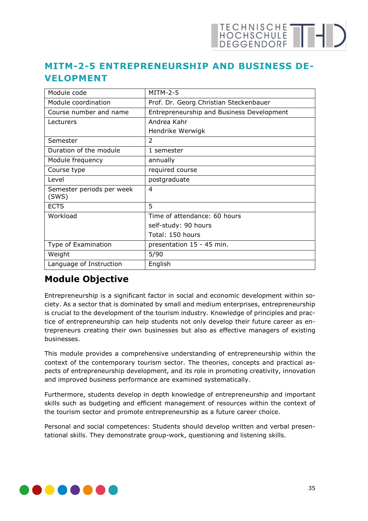#### <span id="page-34-0"></span>**MITM-2-5 ENTREPRENEURSHIP AND BUSINESS DE-VELOPMENT**

| Module code                        | <b>MITM-2-5</b>                           |
|------------------------------------|-------------------------------------------|
| Module coordination                | Prof. Dr. Georg Christian Steckenbauer    |
| Course number and name             | Entrepreneurship and Business Development |
| Lecturers                          | Andrea Kahr                               |
|                                    | Hendrike Werwigk                          |
| Semester                           | $\overline{2}$                            |
| Duration of the module             | 1 semester                                |
| Module frequency                   | annually                                  |
| Course type                        | required course                           |
| Level                              | postgraduate                              |
| Semester periods per week<br>(SWS) | 4                                         |
| <b>ECTS</b>                        | 5                                         |
| Workload                           | Time of attendance: 60 hours              |
|                                    | self-study: 90 hours                      |
|                                    | Total: 150 hours                          |
| Type of Examination                | presentation 15 - 45 min.                 |
| Weight                             | 5/90                                      |
| Language of Instruction            | English                                   |

#### **Module Objective**

Entrepreneurship is a significant factor in social and economic development within society. As a sector that is dominated by small and medium enterprises, entrepreneurship is crucial to the development of the tourism industry. Knowledge of principles and practice of entrepreneurship can help students not only develop their future career as entrepreneurs creating their own businesses but also as effective managers of existing businesses.

This module provides a comprehensive understanding of entrepreneurship within the context of the contemporary tourism sector. The theories, concepts and practical aspects of entrepreneurship development, and its role in promoting creativity, innovation and improved business performance are examined systematically.

Furthermore, students develop in depth knowledge of entrepreneurship and important skills such as budgeting and efficient management of resources within the context of the tourism sector and promote entrepreneurship as a future career choice.

Personal and social competences: Students should develop written and verbal presentational skills. They demonstrate group-work, questioning and listening skills.

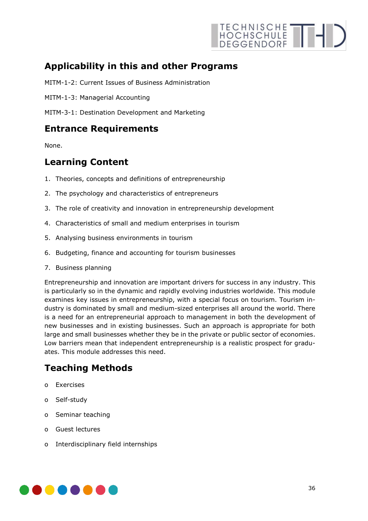

#### **Applicability in this and other Programs**

MITM-1-2: Current Issues of Business Administration

MITM-1-3: Managerial Accounting

MITM-3-1: Destination Development and Marketing

#### **Entrance Requirements**

None.

#### **Learning Content**

- 1. Theories, concepts and definitions of entrepreneurship
- 2. The psychology and characteristics of entrepreneurs
- 3. The role of creativity and innovation in entrepreneurship development
- 4. Characteristics of small and medium enterprises in tourism
- 5. Analysing business environments in tourism
- 6. Budgeting, finance and accounting for tourism businesses
- 7. Business planning

Entrepreneurship and innovation are important drivers for success in any industry. This is particularly so in the dynamic and rapidly evolving industries worldwide. This module examines key issues in entrepreneurship, with a special focus on tourism. Tourism industry is dominated by small and medium-sized enterprises all around the world. There is a need for an entrepreneurial approach to management in both the development of new businesses and in existing businesses. Such an approach is appropriate for both large and small businesses whether they be in the private or public sector of economies. Low barriers mean that independent entrepreneurship is a realistic prospect for graduates. This module addresses this need.

#### **Teaching Methods**

- o Exercises
- o Self-study
- o Seminar teaching
- o Guest lectures
- o Interdisciplinary field internships

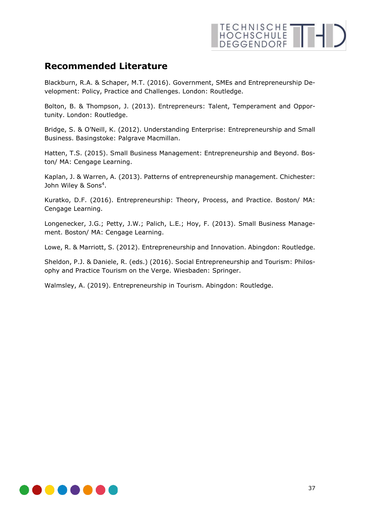#### **Recommended Literature**

Blackburn, R.A. & Schaper, M.T. (2016). Government, SMEs and Entrepreneurship Development: Policy, Practice and Challenges. London: Routledge.

Bolton, B. & Thompson, J. (2013). Entrepreneurs: Talent, Temperament and Opportunity. London: Routledge.

Bridge, S. & O'Neill, K. (2012). Understanding Enterprise: Entrepreneurship and Small Business. Basingstoke: Palgrave Macmillan.

Hatten, T.S. (2015). Small Business Management: Entrepreneurship and Beyond. Boston/ MA: Cengage Learning.

Kaplan, J. & Warren, A. (2013). Patterns of entrepreneurship management. Chichester: John Wiley & Sons<sup>4</sup>.

Kuratko, D.F. (2016). Entrepreneurship: Theory, Process, and Practice. Boston/ MA: Cengage Learning.

Longenecker, J.G.; Petty, J.W.; Palich, L.E.; Hoy, F. (2013). Small Business Management. Boston/ MA: Cengage Learning.

Lowe, R. & Marriott, S. (2012). Entrepreneurship and Innovation. Abingdon: Routledge.

Sheldon, P.J. & Daniele, R. (eds.) (2016). Social Entrepreneurship and Tourism: Philosophy and Practice Tourism on the Verge. Wiesbaden: Springer.

Walmsley, A. (2019). Entrepreneurship in Tourism. Abingdon: Routledge.

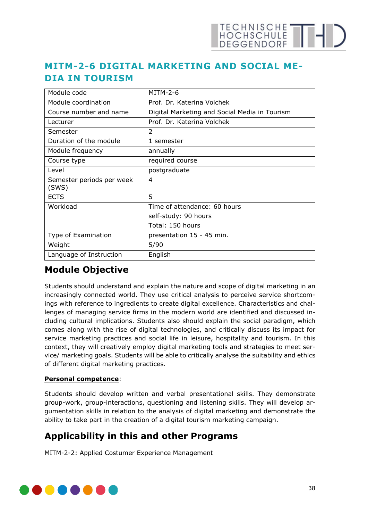## <span id="page-37-0"></span>**MITM-2-6 DIGITAL MARKETING AND SOCIAL ME-DIA IN TOURISM**

| Module code                        | <b>MITM-2-6</b>                               |
|------------------------------------|-----------------------------------------------|
| Module coordination                | Prof. Dr. Katerina Volchek                    |
| Course number and name             | Digital Marketing and Social Media in Tourism |
| Lecturer                           | Prof. Dr. Katerina Volchek                    |
| Semester                           | 2                                             |
| Duration of the module             | 1 semester                                    |
| Module frequency                   | annually                                      |
| Course type                        | required course                               |
| Level                              | postgraduate                                  |
| Semester periods per week<br>(SWS) | 4                                             |
| <b>ECTS</b>                        | 5                                             |
| Workload                           | Time of attendance: 60 hours                  |
|                                    | self-study: 90 hours                          |
|                                    | Total: 150 hours                              |
| Type of Examination                | presentation 15 - 45 min.                     |
| Weight                             | 5/90                                          |
| Language of Instruction            | English                                       |

#### **Module Objective**

Students should understand and explain the nature and scope of digital marketing in an increasingly connected world. They use critical analysis to perceive service shortcomings with reference to ingredients to create digital excellence. Characteristics and challenges of managing service firms in the modern world are identified and discussed including cultural implications. Students also should explain the social paradigm, which comes along with the rise of digital technologies, and critically discuss its impact for service marketing practices and social life in leisure, hospitality and tourism. In this context, they will creatively employ digital marketing tools and strategies to meet service/ marketing goals. Students will be able to critically analyse the suitability and ethics of different digital marketing practices.

#### **Personal competence**:

Students should develop written and verbal presentational skills. They demonstrate group-work, group-interactions, questioning and listening skills. They will develop argumentation skills in relation to the analysis of digital marketing and demonstrate the ability to take part in the creation of a digital tourism marketing campaign.

#### **Applicability in this and other Programs**

MITM-2-2: Applied Costumer Experience Management

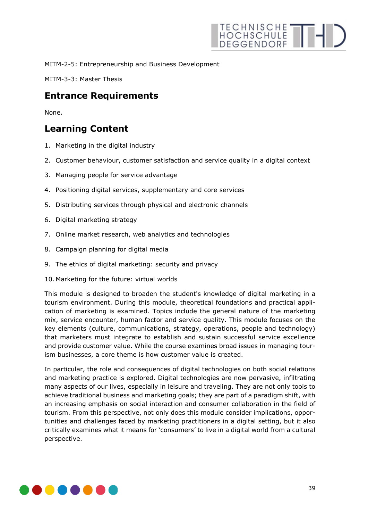

MITM-2-5: Entrepreneurship and Business Development

MITM-3-3: Master Thesis

#### **Entrance Requirements**

None.

#### **Learning Content**

- 1. Marketing in the digital industry
- 2. Customer behaviour, customer satisfaction and service quality in a digital context
- 3. Managing people for service advantage
- 4. Positioning digital services, supplementary and core services
- 5. Distributing services through physical and electronic channels
- 6. Digital marketing strategy
- 7. Online market research, web analytics and technologies
- 8. Campaign planning for digital media
- 9. The ethics of digital marketing: security and privacy
- 10. Marketing for the future: virtual worlds

This module is designed to broaden the student's knowledge of digital marketing in a tourism environment. During this module, theoretical foundations and practical application of marketing is examined. Topics include the general nature of the marketing mix, service encounter, human factor and service quality. This module focuses on the key elements (culture, communications, strategy, operations, people and technology) that marketers must integrate to establish and sustain successful service excellence and provide customer value. While the course examines broad issues in managing tourism businesses, a core theme is how customer value is created.

In particular, the role and consequences of digital technologies on both social relations and marketing practice is explored. Digital technologies are now pervasive, infiltrating many aspects of our lives, especially in leisure and traveling. They are not only tools to achieve traditional business and marketing goals; they are part of a paradigm shift, with an increasing emphasis on social interaction and consumer collaboration in the field of tourism. From this perspective, not only does this module consider implications, opportunities and challenges faced by marketing practitioners in a digital setting, but it also critically examines what it means for 'consumers' to live in a digital world from a cultural perspective.

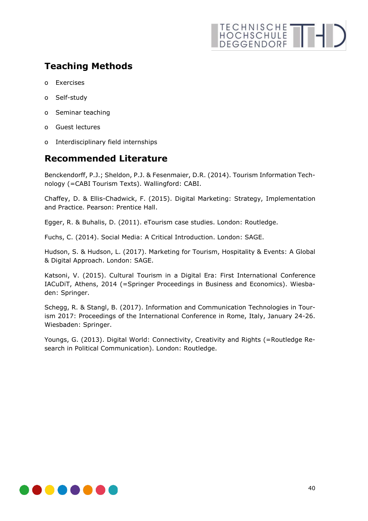## TECHNISCHE THI

## **Teaching Methods**

- o Exercises
- o Self-study
- o Seminar teaching
- o Guest lectures
- o Interdisciplinary field internships

#### **Recommended Literature**

Benckendorff, P.J.; Sheldon, P.J. & Fesenmaier, D.R. (2014). Tourism Information Technology (=CABI Tourism Texts). Wallingford: CABI.

Chaffey, D. & Ellis-Chadwick, F. (2015). Digital Marketing: Strategy, Implementation and Practice. Pearson: Prentice Hall.

Egger, R. & Buhalis, D. (2011). eTourism case studies. London: Routledge.

Fuchs, C. (2014). Social Media: A Critical Introduction. London: SAGE.

Hudson, S. & Hudson, L. (2017). Marketing for Tourism, Hospitality & Events: A Global & Digital Approach. London: SAGE.

Katsoni, V. (2015). Cultural Tourism in a Digital Era: First International Conference IACuDiT, Athens, 2014 (=Springer Proceedings in Business and Economics). Wiesbaden: Springer.

Schegg, R. & Stangl, B. (2017). Information and Communication Technologies in Tourism 2017: Proceedings of the International Conference in Rome, Italy, January 24-26. Wiesbaden: Springer.

Youngs, G. (2013). Digital World: Connectivity, Creativity and Rights (=Routledge Research in Political Communication). London: Routledge.

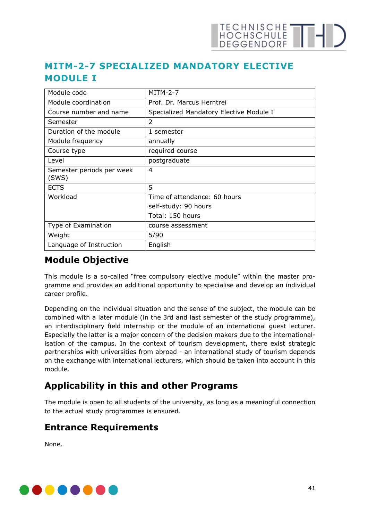## <span id="page-40-0"></span>**MITM-2-7 SPECIALIZED MANDATORY ELECTIVE MODULE I**

| Module code                        | $MITM-2-7$                              |
|------------------------------------|-----------------------------------------|
| Module coordination                | Prof. Dr. Marcus Herntrei               |
| Course number and name             | Specialized Mandatory Elective Module I |
| Semester                           | 2                                       |
| Duration of the module             | 1 semester                              |
| Module frequency                   | annually                                |
| Course type                        | required course                         |
| Level                              | postgraduate                            |
| Semester periods per week<br>(SWS) | 4                                       |
| <b>ECTS</b>                        | 5                                       |
| Workload                           | Time of attendance: 60 hours            |
|                                    | self-study: 90 hours                    |
|                                    | Total: 150 hours                        |
| Type of Examination                | course assessment                       |
| Weight                             | 5/90                                    |
| Language of Instruction            | English                                 |

#### **Module Objective**

This module is a so-called "free compulsory elective module" within the master programme and provides an additional opportunity to specialise and develop an individual career profile.

Depending on the individual situation and the sense of the subject, the module can be combined with a later module (in the 3rd and last semester of the study programme), an interdisciplinary field internship or the module of an international guest lecturer. Especially the latter is a major concern of the decision makers due to the internationalisation of the campus. In the context of tourism development, there exist strategic partnerships with universities from abroad - an international study of tourism depends on the exchange with international lecturers, which should be taken into account in this module.

## **Applicability in this and other Programs**

The module is open to all students of the university, as long as a meaningful connection to the actual study programmes is ensured.

#### **Entrance Requirements**

None.

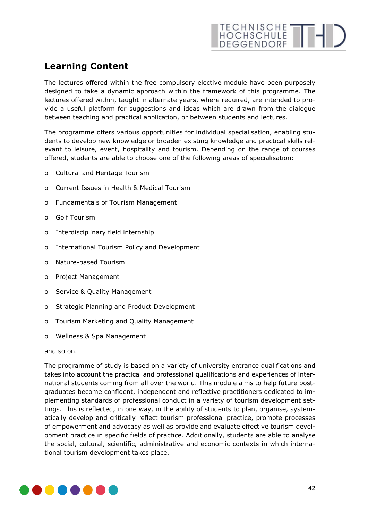## **Learning Content**

The lectures offered within the free compulsory elective module have been purposely designed to take a dynamic approach within the framework of this programme. The lectures offered within, taught in alternate years, where required, are intended to provide a useful platform for suggestions and ideas which are drawn from the dialogue between teaching and practical application, or between students and lectures.

The programme offers various opportunities for individual specialisation, enabling students to develop new knowledge or broaden existing knowledge and practical skills relevant to leisure, event, hospitality and tourism. Depending on the range of courses offered, students are able to choose one of the following areas of specialisation:

- o Cultural and Heritage Tourism
- o Current Issues in Health & Medical Tourism
- o Fundamentals of Tourism Management
- o Golf Tourism
- o Interdisciplinary field internship
- o International Tourism Policy and Development
- o Nature-based Tourism
- o Project Management
- o Service & Quality Management
- o Strategic Planning and Product Development
- o Tourism Marketing and Quality Management
- o Wellness & Spa Management

and so on.

The programme of study is based on a variety of university entrance qualifications and takes into account the practical and professional qualifications and experiences of international students coming from all over the world. This module aims to help future postgraduates become confident, independent and reflective practitioners dedicated to implementing standards of professional conduct in a variety of tourism development settings. This is reflected, in one way, in the ability of students to plan, organise, systematically develop and critically reflect tourism professional practice, promote processes of empowerment and advocacy as well as provide and evaluate effective tourism development practice in specific fields of practice. Additionally, students are able to analyse the social, cultural, scientific, administrative and economic contexts in which international tourism development takes place.

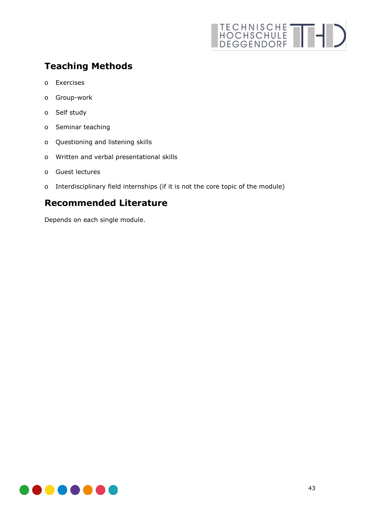## TECHNISCHE THI

## **Teaching Methods**

- o Exercises
- o Group-work
- o Self study
- o Seminar teaching
- o Questioning and listening skills
- o Written and verbal presentational skills
- o Guest lectures
- o Interdisciplinary field internships (if it is not the core topic of the module)

#### **Recommended Literature**

Depends on each single module.

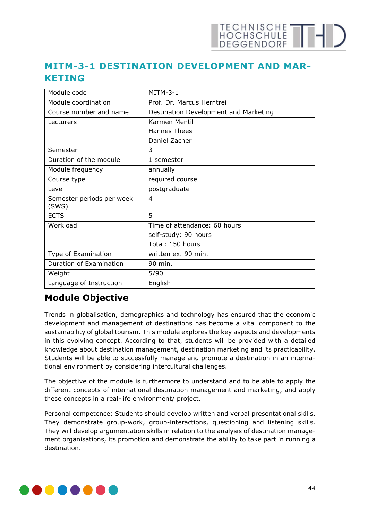## <span id="page-43-0"></span>**MITM-3-1 DESTINATION DEVELOPMENT AND MAR-KETING**

| Module code                        | $MITM-3-1$                            |
|------------------------------------|---------------------------------------|
| Module coordination                | Prof. Dr. Marcus Herntrei             |
| Course number and name             | Destination Development and Marketing |
| Lecturers                          | Karmen Mentil                         |
|                                    | <b>Hannes Thees</b>                   |
|                                    | Daniel Zacher                         |
| Semester                           | 3                                     |
| Duration of the module             | 1 semester                            |
| Module frequency                   | annually                              |
| Course type                        | required course                       |
| Level                              | postgraduate                          |
| Semester periods per week<br>(SWS) | 4                                     |
| <b>ECTS</b>                        | 5                                     |
| Workload                           | Time of attendance: 60 hours          |
|                                    | self-study: 90 hours                  |
|                                    | Total: 150 hours                      |
| Type of Examination                | written ex. 90 min.                   |
| Duration of Examination            | 90 min.                               |
| Weight                             | 5/90                                  |
| Language of Instruction            | English                               |

### **Module Objective**

Trends in globalisation, demographics and technology has ensured that the economic development and management of destinations has become a vital component to the sustainability of global tourism. This module explores the key aspects and developments in this evolving concept. According to that, students will be provided with a detailed knowledge about destination management, destination marketing and its practicability. Students will be able to successfully manage and promote a destination in an international environment by considering intercultural challenges.

The objective of the module is furthermore to understand and to be able to apply the different concepts of international destination management and marketing, and apply these concepts in a real-life environment/ project.

Personal competence: Students should develop written and verbal presentational skills. They demonstrate group-work, group-interactions, questioning and listening skills. They will develop argumentation skills in relation to the analysis of destination management organisations, its promotion and demonstrate the ability to take part in running a destination.

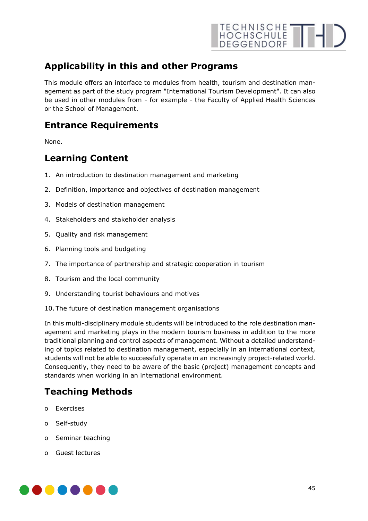

#### **Applicability in this and other Programs**

This module offers an interface to modules from health, tourism and destination management as part of the study program "International Tourism Development". It can also be used in other modules from - for example - the Faculty of Applied Health Sciences or the School of Management.

#### **Entrance Requirements**

None.

#### **Learning Content**

- 1. An introduction to destination management and marketing
- 2. Definition, importance and objectives of destination management
- 3. Models of destination management
- 4. Stakeholders and stakeholder analysis
- 5. Quality and risk management
- 6. Planning tools and budgeting
- 7. The importance of partnership and strategic cooperation in tourism
- 8. Tourism and the local community
- 9. Understanding tourist behaviours and motives
- 10. The future of destination management organisations

In this multi-disciplinary module students will be introduced to the role destination management and marketing plays in the modern tourism business in addition to the more traditional planning and control aspects of management. Without a detailed understanding of topics related to destination management, especially in an international context, students will not be able to successfully operate in an increasingly project-related world. Consequently, they need to be aware of the basic (project) management concepts and standards when working in an international environment.

#### **Teaching Methods**

- o Exercises
- o Self-study
- o Seminar teaching
- o Guest lectures

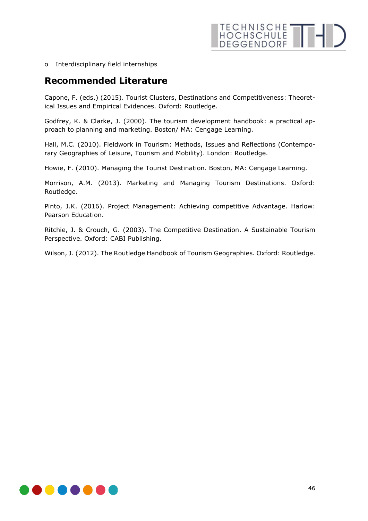o Interdisciplinary field internships

#### **Recommended Literature**

Capone, F. (eds.) (2015). Tourist Clusters, Destinations and Competitiveness: Theoretical Issues and Empirical Evidences. Oxford: Routledge.

Godfrey, K. & Clarke, J. (2000). The tourism development handbook: a practical approach to planning and marketing. Boston/ MA: Cengage Learning.

Hall, M.C. (2010). Fieldwork in Tourism: Methods, Issues and Reflections (Contemporary Geographies of Leisure, Tourism and Mobility). London: Routledge.

Howie, F. (2010). Managing the Tourist Destination. Boston, MA: Cengage Learning.

Morrison, A.M. (2013). Marketing and Managing Tourism Destinations. Oxford: Routledge.

Pinto, J.K. (2016). Project Management: Achieving competitive Advantage. Harlow: Pearson Education.

Ritchie, J. & Crouch, G. (2003). The Competitive Destination. A Sustainable Tourism Perspective. Oxford: CABI Publishing.

Wilson, J. (2012). The Routledge Handbook of Tourism Geographies. Oxford: Routledge.

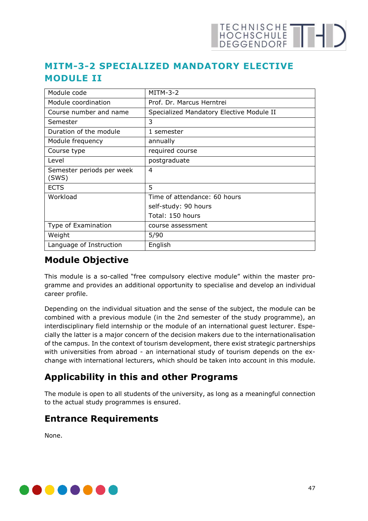## TECHNISCHE THE

### <span id="page-46-0"></span>**MITM-3-2 SPECIALIZED MANDATORY ELECTIVE MODULE II**

| Module code                        | $MITM-3-2$                               |
|------------------------------------|------------------------------------------|
| Module coordination                | Prof. Dr. Marcus Herntrei                |
| Course number and name             | Specialized Mandatory Elective Module II |
| Semester                           | 3                                        |
| Duration of the module             | 1 semester                               |
| Module frequency                   | annually                                 |
| Course type                        | required course                          |
| Level                              | postgraduate                             |
| Semester periods per week<br>(SWS) | 4                                        |
| <b>ECTS</b>                        | 5                                        |
| Workload                           | Time of attendance: 60 hours             |
|                                    | self-study: 90 hours                     |
|                                    | Total: 150 hours                         |
| Type of Examination                | course assessment                        |
| Weight                             | 5/90                                     |
| Language of Instruction            | English                                  |

#### **Module Objective**

This module is a so-called "free compulsory elective module" within the master programme and provides an additional opportunity to specialise and develop an individual career profile.

Depending on the individual situation and the sense of the subject, the module can be combined with a previous module (in the 2nd semester of the study programme), an interdisciplinary field internship or the module of an international guest lecturer. Especially the latter is a major concern of the decision makers due to the internationalisation of the campus. In the context of tourism development, there exist strategic partnerships with universities from abroad - an international study of tourism depends on the exchange with international lecturers, which should be taken into account in this module.

## **Applicability in this and other Programs**

The module is open to all students of the university, as long as a meaningful connection to the actual study programmes is ensured.

### **Entrance Requirements**

None.

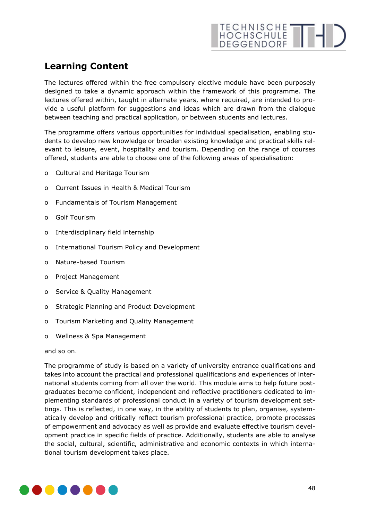## **Learning Content**

The lectures offered within the free compulsory elective module have been purposely designed to take a dynamic approach within the framework of this programme. The lectures offered within, taught in alternate years, where required, are intended to provide a useful platform for suggestions and ideas which are drawn from the dialogue between teaching and practical application, or between students and lectures.

The programme offers various opportunities for individual specialisation, enabling students to develop new knowledge or broaden existing knowledge and practical skills relevant to leisure, event, hospitality and tourism. Depending on the range of courses offered, students are able to choose one of the following areas of specialisation:

- o Cultural and Heritage Tourism
- o Current Issues in Health & Medical Tourism
- o Fundamentals of Tourism Management
- o Golf Tourism
- o Interdisciplinary field internship
- o International Tourism Policy and Development
- o Nature-based Tourism
- o Project Management
- o Service & Quality Management
- o Strategic Planning and Product Development
- o Tourism Marketing and Quality Management
- o Wellness & Spa Management

and so on.

The programme of study is based on a variety of university entrance qualifications and takes into account the practical and professional qualifications and experiences of international students coming from all over the world. This module aims to help future postgraduates become confident, independent and reflective practitioners dedicated to implementing standards of professional conduct in a variety of tourism development settings. This is reflected, in one way, in the ability of students to plan, organise, systematically develop and critically reflect tourism professional practice, promote processes of empowerment and advocacy as well as provide and evaluate effective tourism development practice in specific fields of practice. Additionally, students are able to analyse the social, cultural, scientific, administrative and economic contexts in which international tourism development takes place.

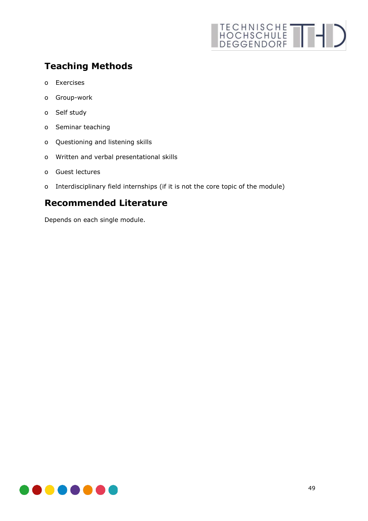## TECHNISCHE THI

## **Teaching Methods**

- o Exercises
- o Group-work
- o Self study
- o Seminar teaching
- o Questioning and listening skills
- o Written and verbal presentational skills
- o Guest lectures
- o Interdisciplinary field internships (if it is not the core topic of the module)

#### **Recommended Literature**

Depends on each single module.

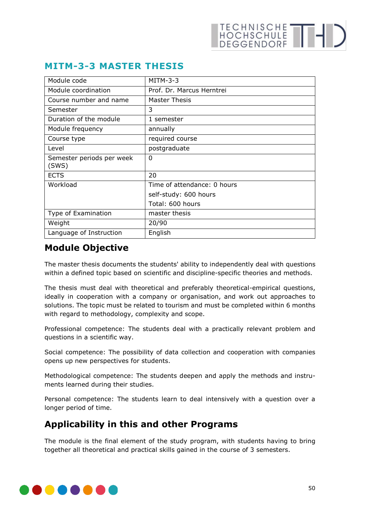| Module code                        | $MITM-3-3$                  |
|------------------------------------|-----------------------------|
| Module coordination                | Prof. Dr. Marcus Herntrei   |
| Course number and name             | Master Thesis               |
| Semester                           | 3                           |
| Duration of the module             | 1 semester                  |
| Module frequency                   | annually                    |
| Course type                        | required course             |
| Level                              | postgraduate                |
| Semester periods per week<br>(SWS) | $\Omega$                    |
| <b>ECTS</b>                        | 20                          |
| Workload                           | Time of attendance: 0 hours |
|                                    | self-study: 600 hours       |
|                                    | Total: 600 hours            |
| Type of Examination                | master thesis               |
| Weight                             | 20/90                       |
| Language of Instruction            | English                     |

#### <span id="page-49-0"></span>**MITM-3-3 MASTER THESIS**

#### **Module Objective**

The master thesis documents the students' ability to independently deal with questions within a defined topic based on scientific and discipline-specific theories and methods.

The thesis must deal with theoretical and preferably theoretical-empirical questions, ideally in cooperation with a company or organisation, and work out approaches to solutions. The topic must be related to tourism and must be completed within 6 months with regard to methodology, complexity and scope.

Professional competence: The students deal with a practically relevant problem and questions in a scientific way.

Social competence: The possibility of data collection and cooperation with companies opens up new perspectives for students.

Methodological competence: The students deepen and apply the methods and instruments learned during their studies.

Personal competence: The students learn to deal intensively with a question over a longer period of time.

#### **Applicability in this and other Programs**

The module is the final element of the study program, with students having to bring together all theoretical and practical skills gained in the course of 3 semesters.